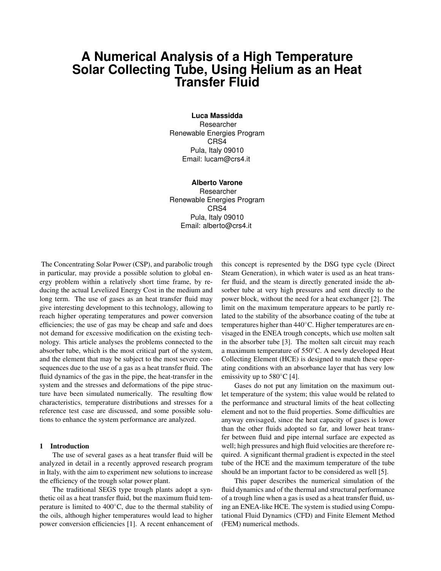# **A Numerical Analysis of a High Temperature Solar Collecting Tube, Using Helium as an Heat Transfer Fluid**

**Luca Massidda** Researcher Renewable Energies Program CRS4 Pula, Italy 09010 Email: lucam@crs4.it

## **Alberto Varone**

Researcher Renewable Energies Program CRS4 Pula, Italy 09010 Email: alberto@crs4.it

The Concentrating Solar Power (CSP), and parabolic trough in particular, may provide a possible solution to global energy problem within a relatively short time frame, by reducing the actual Levelized Energy Cost in the medium and long term. The use of gases as an heat transfer fluid may give interesting development to this technology, allowing to reach higher operating temperatures and power conversion efficiencies; the use of gas may be cheap and safe and does not demand for excessive modification on the existing technology. This article analyses the problems connected to the absorber tube, which is the most critical part of the system, and the element that may be subject to the most severe consequences due to the use of a gas as a heat transfer fluid. The fluid dynamics of the gas in the pipe, the heat-transfer in the system and the stresses and deformations of the pipe structure have been simulated numerically. The resulting flow characteristics, temperature distributions and stresses for a reference test case are discussed, and some possible solutions to enhance the system performance are analyzed.

## 1 Introduction

The use of several gases as a heat transfer fluid will be analyzed in detail in a recently approved research program in Italy, with the aim to experiment new solutions to increase the efficiency of the trough solar power plant.

The traditional SEGS type trough plants adopt a synthetic oil as a heat transfer fluid, but the maximum fluid temperature is limited to 400◦C, due to the thermal stability of the oils, although higher temperatures would lead to higher power conversion efficiencies [1]. A recent enhancement of

this concept is represented by the DSG type cycle (Direct Steam Generation), in which water is used as an heat transfer fluid, and the steam is directly generated inside the absorber tube at very high pressures and sent directly to the power block, without the need for a heat exchanger [2]. The limit on the maximum temperature appears to be partly related to the stability of the absorbance coating of the tube at temperatures higher than 440◦C. Higher temperatures are envisaged in the ENEA trough concepts, which use molten salt in the absorber tube [3]. The molten salt circuit may reach a maximum temperature of 550◦C. A newly developed Heat Collecting Element (HCE) is designed to match these operating conditions with an absorbance layer that has very low emissivity up to  $580^{\circ}$ C [4].

Gases do not put any limitation on the maximum outlet temperature of the system; this value would be related to the performance and structural limits of the heat collecting element and not to the fluid properties. Some difficulties are anyway envisaged, since the heat capacity of gases is lower than the other fluids adopted so far, and lower heat transfer between fluid and pipe internal surface are expected as well; high pressures and high fluid velocities are therefore required. A significant thermal gradient is expected in the steel tube of the HCE and the maximum temperature of the tube should be an important factor to be considered as well [5].

This paper describes the numerical simulation of the fluid dynamics and of the thermal and structural performance of a trough line when a gas is used as a heat transfer fluid, using an ENEA-like HCE. The system is studied using Computational Fluid Dynamics (CFD) and Finite Element Method (FEM) numerical methods.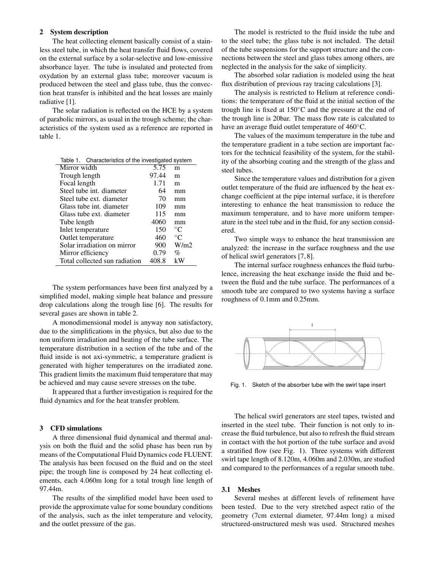# 2 System description

The heat collecting element basically consist of a stainless steel tube, in which the heat transfer fluid flows, covered on the external surface by a solar-selective and low-emissive absorbance layer. The tube is insulated and protected from oxydation by an external glass tube; moreover vacuum is produced between the steel and glass tube, thus the convection heat transfer is inhibited and the heat losses are mainly radiative [1].

The solar radiation is reflected on the HCE by a system of parabolic mirrors, as usual in the trough scheme; the characteristics of the system used as a reference are reported in table 1.

| Table 1. Characteristics of the investigated system |       |             |
|-----------------------------------------------------|-------|-------------|
| Mirror width                                        | 5.75  | m           |
| Trough length                                       | 97.44 | m           |
| Focal length                                        | 1.71  | m           |
| Steel tube int. diameter                            | 64    | mm          |
| Steel tube ext. diameter                            | 70    | mm          |
| Glass tube int. diameter                            | 109   | mm          |
| Glass tube ext. diameter                            | 115   | mm          |
| Tube length                                         | 4060  | mm          |
| Inlet temperature                                   | 150   | $^{\circ}C$ |
| Outlet temperature                                  | 460   | $^{\circ}C$ |
| Solar irradiation on mirror                         | 900   | W/m2        |
| Mirror efficiency                                   | 0.79  | %           |
| Total collected sun radiation                       | 408.8 | kW          |

The system performances have been first analyzed by a simplified model, making simple heat balance and pressure drop calculations along the trough line [6]. The results for several gases are shown in table 2.

A monodimensional model is anyway non satisfactory, due to the simplifications in the physics, but also due to the non uniform irradiation and heating of the tube surface. The temperature distribution in a section of the tube and of the fluid inside is not axi-symmetric, a temperature gradient is generated with higher temperatures on the irradiated zone. This gradient limits the maximum fluid temperature that may be achieved and may cause severe stresses on the tube.

It appeared that a further investigation is required for the fluid dynamics and for the heat transfer problem.

## 3 CFD simulations

A three dimensional fluid dynamical and thermal analysis on both the fluid and the solid phase has been run by means of the Computational Fluid Dynamics code FLUENT. The analysis has been focused on the fluid and on the steel pipe; the trough line is composed by 24 heat collecting elements, each 4.060m long for a total trough line length of 97.44m.

The results of the simplified model have been used to provide the approximate value for some boundary conditions of the analysis, such as the inlet temperature and velocity, and the outlet pressure of the gas.

The model is restricted to the fluid inside the tube and to the steel tube; the glass tube is not included. The detail of the tube suspensions for the support structure and the connections between the steel and glass tubes among others, are neglected in the analysis for the sake of simplicity.

The absorbed solar radiation is modeled using the heat flux distribution of previous ray tracing calculations [3].

The analysis is restricted to Helium at reference conditions: the temperature of the fluid at the initial section of the trough line is fixed at  $150^{\circ}$ C and the pressure at the end of the trough line is 20bar. The mass flow rate is calculated to have an average fluid outlet temperature of 460<sup>°</sup>C.

The values of the maximum temperature in the tube and the temperature gradient in a tube section are important factors for the technical feasibility of the system, for the stability of the absorbing coating and the strength of the glass and steel tubes.

Since the temperature values and distribution for a given outlet temperature of the fluid are influenced by the heat exchange coefficient at the pipe internal surface, it is therefore interesting to enhance the heat transmission to reduce the maximum temperature, and to have more uniform temperature in the steel tube and in the fluid, for any section considered.

Two simple ways to enhance the heat transmission are analyzed: the increase in the surface roughness and the use of helical swirl generators [7, 8].

The internal surface roughness enhances the fluid turbulence, increasing the heat exchange inside the fluid and between the fluid and the tube surface. The performances of a smooth tube are compared to two systems having a surface roughness of 0.1mm and 0.25mm.



Fig. 1. Sketch of the absorber tube with the swirl tape insert

The helical swirl generators are steel tapes, twisted and inserted in the steel tube. Their function is not only to increase the fluid turbulence, but also to refresh the fluid stream in contact with the hot portion of the tube surface and avoid a stratified flow (see Fig. 1). Three systems with different swirl tape length of 8.120m, 4.060m and 2.030m, are studied and compared to the performances of a regular smooth tube.

## 3.1 Meshes

Several meshes at different levels of refinement have been tested. Due to the very stretched aspect ratio of the geometry (7cm external diameter, 97.44m long) a mixed structured-unstructured mesh was used. Structured meshes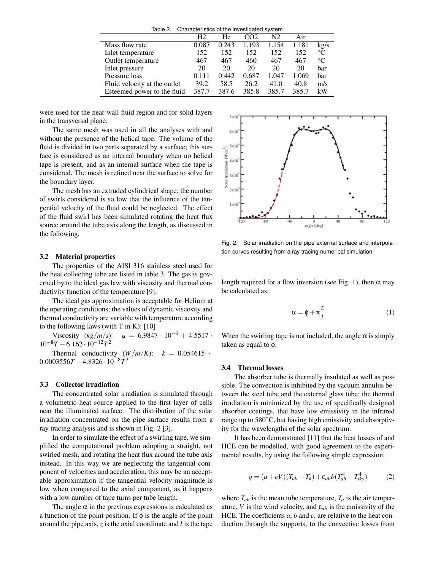Table 2. Characteristics of the investigated system

|                              | H2    | He    | CO2.  | N2    | Air   |             |
|------------------------------|-------|-------|-------|-------|-------|-------------|
| Mass flow rate               | 0.087 | 0.243 | 1.193 | 1.154 | 1.181 | kg/s        |
| Inlet temperature            | 152   | 152   | 152   | 152   | 152   | $^{\circ}C$ |
| Outlet temperature           | 467   | 467   | 460   | 467   | 467   | $^{\circ}C$ |
| Inlet pressure               | 20    | 20    | 20    | 20    | 20    | bar         |
| Pressure loss                | 0.111 | 0.442 | 0.687 | 1.047 | 1.069 | bar         |
| Fluid velocity at the outlet | 39.2  | 58.5  | 26.2  | 41.0  | 40.8  | m/s         |
| Esteemed power to the fluid  | 387.7 | 387.6 | 385.8 | 385.7 | 385.7 | kW          |

were used for the near-wall fluid region and for solid layers in the transversal plane.

The same mesh was used in all the analyses with and without the presence of the helical tape. The volume of the fluid is divided in two parts separated by a surface; this surface is considered as an internal boundary when no helical tape is present, and as an internal surface when the tape is considered. The mesh is refined near the surface to solve for the boundary layer.

The mesh has an extruded cylindrical shape; the number of swirls considered is so low that the influence of the tangential velocity of the fluid could be neglected. The effect of the fluid swirl has been simulated rotating the heat flux source around the tube axis along the length, as discussed in the following.

## 3.2 Material properties

The properties of the AISI 316 stainless steel used for the heat collecting tube are listed in table 3. The gas is governed by to the ideal gas law with viscosity and thermal conductivity function of the temperature [9].

The ideal gas approximation is acceptable for Helium at the operating conditions; the values of dynamic viscosity and thermal conductivity are variable with temperature according to the following laws (with  $T$  in  $K$ ): [10]

Viscosity  $(kg/m/s):$   $\mu = 6.9847 \cdot 10^{-6} + 4.5517 \cdot$  $10^{-8}T - 6.162 \cdot 10^{-12}T^2$ 

Thermal conductivity  $(W/m/K)$ :  $k = 0.054615 +$ 0.0003556*T* −4.8326 · 10−8*T* 2

# 3.3 Collector irradiation

The concentrated solar irradiation is simulated through a volumetric heat source applied to the first layer of cells near the illuminated surface. The distribution of the solar irradiation concentrated on the pipe surface results from a ray tracing analysis and is shown in Fig. 2 [3].

In order to simulate the effect of a swirling tape, we simplified the computational problem adopting a straight, not swirled mesh, and rotating the heat flux around the tube axis instead. In this way we are neglecting the tangential component of velocities and acceleration, this may be an acceptable approximation if the tangential velocity magnitude is low when compared to the axial component, as it happens with a low number of tape turns per tube length.

The angle  $\alpha$  in the previous expressions is calculated as a function of the point position. If  $\phi$  is the angle of the point around the pipe axis, *z* is the axial coordinate and *l* is the tape



Fig. 2. Solar irradiation on the pipe external surface and interpolation curves resulting from a ray tracing numerical simulation

length required for a flow inversion (see Fig. 1), then  $\alpha$  may be calculated as:

$$
\alpha = \phi + \pi \frac{z}{l} \tag{1}
$$

When the swirling tape is not included, the angle  $\alpha$  is simply taken as equal to φ.

# 3.4 Thermal losses

The absorber tube is thermally insulated as well as possible. The convection is inhibited by the vacuum annulus between the steel tube and the external glass tube; the thermal irradiation is minimized by the use of specifically designed absorber coatings, that have low emissivity in the infrared range up to 580◦C, but having high emissivity and absorptivity for the wavelengths of the solar spectrum.

It has been demonstrated [11] that the heat losses of and HCE can be modelled, with good agreement to the experimental results, by using the following simple expression:

$$
q = (a + cV)(T_{ab} - T_a) + \varepsilon_{ab}b(T_{ab}^4 - T_{sky}^4)
$$
 (2)

where  $T_{ab}$  is the mean tube temperature,  $T_a$  is the air temperature, *V* is the wind velocity, and  $\varepsilon_{ab}$  is the emissivity of the HCE. The coefficients *a*, *b* and *c*, are relative to the heat conduction through the supports, to the convective losses from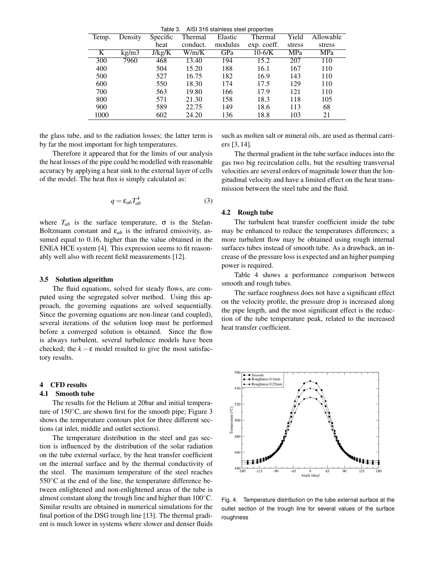Table 3. AISI 316 stainless steel properties

| Temp. | Density | Specific | Thermal  | Elastic | Thermal     | Yield  | Allowable |
|-------|---------|----------|----------|---------|-------------|--------|-----------|
|       |         | heat     | conduct. | modulus | exp. coeff. | stress | stress    |
| K     | kg/m3   | J/kg/K   | W/m/K    | GPa     | $10-6/K$    | MPa    | MPa       |
| 300   | 7960    | 468      | 13.40    | 194     | 15.2        | 207    | 110       |
| 400   |         | 504      | 15.20    | 188     | 16.1        | 167    | 110       |
| 500   |         | 527      | 16.75    | 182     | 16.9        | 143    | 110       |
| 600   |         | 550      | 18.30    | 174     | 17.5        | 129    | 110       |
| 700   |         | 563      | 19.80    | 166     | 17.9        | 121    | 110       |
| 800   |         | 571      | 21.30    | 158     | 18.3        | 118    | 105       |
| 900   |         | 589      | 22.75    | 149     | 18.6        | 113    | 68        |
| 1000  |         | 602      | 24.20    | 136     | 18.8        | 103    | 21        |

the glass tube, and to the radiation losses; the latter term is by far the most important for high temperatures.

Therefore it appeared that for the limits of our analysis the heat losses of the pipe could be modelled with reasonable accuracy by applying a heat sink to the external layer of cells of the model. The heat flux is simply calculated as:

$$
q = \varepsilon_{ab} T_{ab}^4 \tag{3}
$$

where  $T_{ab}$  is the surface temperature,  $\sigma$  is the Stefan-Boltzmann constant and  $\varepsilon_{ab}$  is the infrared emissivity, assumed equal to 0.16, higher than the value obtained in the ENEA HCE system [4]. This expression seems to fit reasonably well also with recent field measurements [12].

#### 3.5 Solution algorithm

The fluid equations, solved for steady flows, are computed using the segregated solver method. Using this approach, the governing equations are solved sequentially. Since the governing equations are non-linear (and coupled), several iterations of the solution loop must be performed before a converged solution is obtained. Since the flow is always turbulent, several turbulence models have been checked; the  $k - \varepsilon$  model resulted to give the most satisfactory results.

# 4 CFD results

# 4.1 Smooth tube

The results for the Helium at 20bar and initial temperature of 150◦C, are shown first for the smooth pipe; Figure 3 shows the temperature contours plot for three different sections (at inlet, middle and outlet sections).

The temperature distribution in the steel and gas section is influenced by the distribution of the solar radiation on the tube external surface, by the heat transfer coefficient on the internal surface and by the thermal conductivity of the steel. The maximum temperature of the steel reaches  $550^{\circ}$ C at the end of the line, the temperature difference between enlightened and non-enlightened areas of the tube is almost constant along the trough line and higher than 100◦C. Similar results are obtained in numerical simulations for the final portion of the DSG trough line [13]. The thermal gradient is much lower in systems where slower and denser fluids such as molten salt or mineral oils, are used as thermal carriers [3, 14].

The thermal gradient in the tube surface induces into the gas two big recirculation cells, but the resulting transversal velocities are several orders of magnitude lower than the longitudinal velocity and have a limited effect on the heat transmission between the steel tube and the fluid.

## 4.2 Rough tube

The turbulent heat transfer coefficient inside the tube may be enhanced to reduce the temperatures differences; a more turbulent flow may be obtained using rough internal surfaces tubes instead of smooth tube. As a drawback, an increase of the pressure loss is expected and an higher pumping power is required.

Table 4 shows a performance comparison between smooth and rough tubes.

The surface roughness does not have a significant effect on the velocity profile, the pressure drop is increased along the pipe length, and the most significant effect is the reduction of the tube temperature peak, related to the increased heat transfer coefficient.



Fig. 4. Temperature distribution on the tube external surface at the outlet section of the trough line for several values of the surface roughness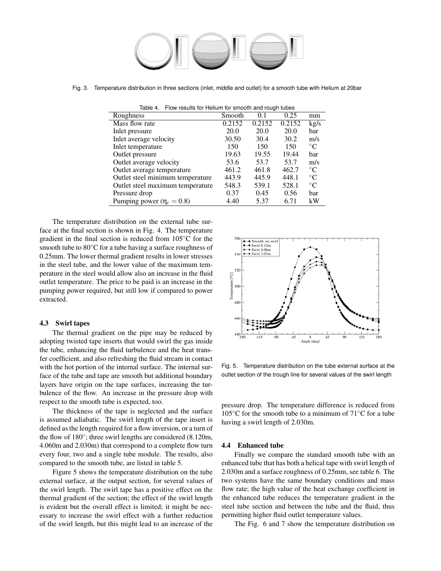

Fig. 3. Temperature distribution in three sections (inlet, middle and outlet) for a smooth tube with Helium at 20bar

| Flow results for Helium for smooth and rough tubes<br>Table 4. |        |        |        |                 |  |  |
|----------------------------------------------------------------|--------|--------|--------|-----------------|--|--|
| Roughness                                                      | Smooth | 0.1    | 0.25   | mm              |  |  |
| Mass flow rate                                                 | 0.2152 | 0.2152 | 0.2152 | kg/s            |  |  |
| Inlet pressure                                                 | 20.0   | 20.0   | 20.0   | bar             |  |  |
| Inlet average velocity                                         | 30.50  | 30.4   | 30.2   | m/s             |  |  |
| Inlet temperature                                              | 150    | 150    | 150    | $\rm ^{\circ}C$ |  |  |
| Outlet pressure                                                | 19.63  | 19.55  | 19.44  | bar             |  |  |
| Outlet average velocity                                        | 53.6   | 53.7   | 53.7   | m/s             |  |  |
| Outlet average temperature                                     | 461.2  | 461.8  | 462.7  | $^{\circ}C$     |  |  |
| Outlet steel minimum temperature                               | 443.9  | 445.9  | 448.1  | $^{\circ}C$     |  |  |
| Outlet steel maximum temperature                               | 548.3  | 539.1  | 528.1  | $^{\circ}C$     |  |  |
| Pressure drop                                                  | 0.37   | 0.45   | 0.56   | bar             |  |  |
| Pumping power ( $\eta_c = 0.8$ )                               | 4.40   | 5.37   | 6.71   | kW              |  |  |

The temperature distribution on the external tube surface at the final section is shown in Fig. 4. The temperature gradient in the final section is reduced from 105◦C for the smooth tube to  $80^{\circ}$ C for a tube having a surface roughness of 0.25mm. The lower thermal gradient results in lower stresses in the steel tube, and the lower value of the maximum temperature in the steel would allow also an increase in the fluid outlet temperature. The price to be paid is an increase in the pumping power required, but still low if compared to power extracted.

# 4.3 Swirl tapes

The thermal gradient on the pipe may be reduced by adopting twisted tape inserts that would swirl the gas inside the tube, enhancing the fluid turbulence and the heat transfer coefficient, and also refreshing the fluid stream in contact with the hot portion of the internal surface. The internal surface of the tube and tape are smooth but additional boundary layers have origin on the tape surfaces, increasing the turbulence of the flow. An increase in the pressure drop with respect to the smooth tube is expected, too.

The thickness of the tape is neglected and the surface is assumed adiabatic. The swirl length of the tape insert is defined as the length required for a flow inversion, or a turn of the flow of 180◦ ; three swirl lengths are considered (8.120m, 4.060m and 2.030m) that correspond to a complete flow turn every four, two and a single tube module. The results, also compared to the smooth tube, are listed in table 5.

Figure 5 shows the temperature distribution on the tube external surface, at the output section, for several values of the swirl length. The swirl tape has a positive effect on the thermal gradient of the section; the effect of the swirl length is evident but the overall effect is limited; it might be necessary to increase the swirl effect with a further reduction of the swirl length, but this might lead to an increase of the



Fig. 5. Temperature distribution on the tube external surface at the outlet section of the trough line for several values of the swirl length

pressure drop. The temperature difference is reduced from 105 $°C$  for the smooth tube to a minimum of 71 $°C$  for a tube having a swirl length of 2.030m.

## 4.4 Enhanced tube

Finally we compare the standard smooth tube with an enhanced tube that has both a helical tape with swirl length of 2.030m and a surface roughness of 0.25mm, see table 6. The two systems have the same boundary conditions and mass flow rate; the high value of the heat exchange coefficient in the enhanced tube reduces the temperature gradient in the steel tube section and between the tube and the fluid, thus permitting higher fluid outlet temperature values.

The Fig. 6 and 7 show the temperature distribution on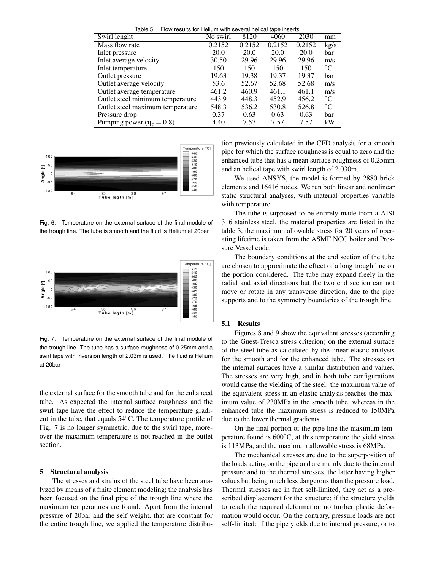Table 5. Flow results for Helium with several helical tape inserts

| Swirl lenght                     | No swirl | 8120        | 4060   | 2030   | mm              |
|----------------------------------|----------|-------------|--------|--------|-----------------|
| Mass flow rate                   | 0.2152   | 0.2152      | 0.2152 | 0.2152 | kg/s            |
| Inlet pressure                   | 20.0     | <b>20.0</b> | 20.0   | 20.0   | bar             |
| Inlet average velocity           | 30.50    | 29.96       | 29.96  | 29.96  | m/s             |
| Inlet temperature                | 150      | 150         | 150    | 150    | $\rm ^{\circ}C$ |
| Outlet pressure                  | 19.63    | 19.38       | 19.37  | 19.37  | bar             |
| Outlet average velocity          | 53.6     | 52.67       | 52.68  | 52.68  | m/s             |
| Outlet average temperature       | 461.2    | 460.9       | 461.1  | 461.1  | m/s             |
| Outlet steel minimum temperature | 443.9    | 448.3       | 452.9  | 456.2  | $\rm ^{\circ}C$ |
| Outlet steel maximum temperature | 548.3    | 536.2       | 530.8  | 526.8  | $\rm ^{\circ}C$ |
| Pressure drop                    | 0.37     | 0.63        | 0.63   | 0.63   | bar             |
| Pumping power ( $\eta_c = 0.8$ ) | 4.40     | 7.57        | 7.57   | 7.57   | kW              |



Fig. 6. Temperature on the external surface of the final module of the trough line. The tube is smooth and the fluid is Helium at 20bar



Fig. 7. Temperature on the external surface of the final module of the trough line. The tube has a surface roughness of 0.25mm and a swirl tape with inversion length of 2.03m is used. The fluid is Helium at 20bar

the external surface for the smooth tube and for the enhanced tube. As expected the internal surface roughness and the swirl tape have the effect to reduce the temperature gradient in the tube, that equals 54◦C. The temperature profile of Fig. 7 is no longer symmetric, due to the swirl tape, moreover the maximum temperature is not reached in the outlet section.

## 5 Structural analysis

The stresses and strains of the steel tube have been analyzed by means of a finite element modeling; the analysis has been focused on the final pipe of the trough line where the maximum temperatures are found. Apart from the internal pressure of 20bar and the self weight, that are constant for the entire trough line, we applied the temperature distribu-

tion previously calculated in the CFD analysis for a smooth pipe for which the surface roughness is equal to zero and the enhanced tube that has a mean surface roughness of 0.25mm and an helical tape with swirl length of 2.030m.

We used ANSYS, the model is formed by 2880 brick elements and 16416 nodes. We run both linear and nonlinear static structural analyses, with material properties variable with temperature.

The tube is supposed to be entirely made from a AISI 316 stainless steel, the material properties are listed in the table 3, the maximum allowable stress for 20 years of operating lifetime is taken from the ASME NCC boiler and Pressure Vessel code.

The boundary conditions at the end section of the tube are chosen to approximate the effect of a long trough line on the portion considered. The tube may expand freely in the radial and axial directions but the two end section can not move or rotate in any transverse direction, due to the pipe supports and to the symmetry boundaries of the trough line.

#### 5.1 Results

Figures 8 and 9 show the equivalent stresses (according to the Guest-Tresca stress criterion) on the external surface of the steel tube as calculated by the linear elastic analysis for the smooth and for the enhanced tube. The stresses on the internal surfaces have a similar distribution and values. The stresses are very high, and in both tube configurations would cause the yielding of the steel: the maximum value of the equivalent stress in an elastic analysis reaches the maximum value of 230MPa in the smooth tube, whereas in the enhanced tube the maximum stress is reduced to 150MPa due to the lower thermal gradients.

On the final portion of the pipe line the maximum temperature found is  $600\degree C$ , at this temperature the yield stress is 113MPa, and the maximum allowable stress is 68MPa.

The mechanical stresses are due to the superposition of the loads acting on the pipe and are mainly due to the internal pressure and to the thermal stresses, the latter having higher values but being much less dangerous than the pressure load. Thermal stresses are in fact self-limited, they act as a prescribed displacement for the structure: if the structure yields to reach the required deformation no further plastic deformation would occur. On the contrary, pressure loads are not self-limited: if the pipe yields due to internal pressure, or to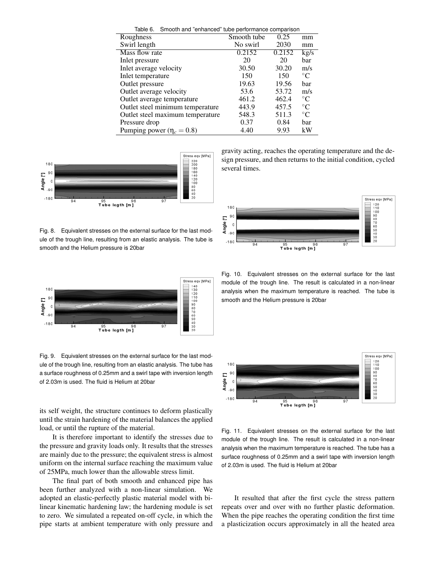|                                  | Table 6. Smooth and "enhanced" tube performance comparison |        |                 |  |  |
|----------------------------------|------------------------------------------------------------|--------|-----------------|--|--|
| Roughness                        | Smooth tube                                                | 0.25   | mm              |  |  |
| Swirl length                     | No swirl                                                   | 2030   | mm              |  |  |
| Mass flow rate                   | $\overline{0.2152}$                                        | 0.2152 | kg/s            |  |  |
| Inlet pressure                   | 20                                                         | 20     | bar             |  |  |
| Inlet average velocity           | 30.50                                                      | 30.20  | m/s             |  |  |
| Inlet temperature                | 150                                                        | 150    | $^{\circ}C$     |  |  |
| Outlet pressure                  | 19.63                                                      | 19.56  | bar             |  |  |
| Outlet average velocity          | 53.6                                                       | 53.72  | m/s             |  |  |
| Outlet average temperature       | 461.2                                                      | 462.4  | $\rm ^{\circ}C$ |  |  |
| Outlet steel minimum temperature | 443.9                                                      | 457.5  | $^{\circ}C$     |  |  |
| Outlet steel maximum temperature | 548.3                                                      | 511.3  | $\rm ^{\circ}C$ |  |  |
| Pressure drop                    | 0.37                                                       | 0.84   | bar             |  |  |
| Pumping power ( $\eta_c = 0.8$ ) | 4.40                                                       | 9.93   | kW              |  |  |



Fig. 8. Equivalent stresses on the external surface for the last module of the trough line, resulting from an elastic analysis. The tube is smooth and the Helium pressure is 20bar



Fig. 9. Equivalent stresses on the external surface for the last module of the trough line, resulting from an elastic analysis. The tube has a surface roughness of 0.25mm and a swirl tape with inversion length of 2.03m is used. The fluid is Helium at 20bar

its self weight, the structure continues to deform plastically until the strain hardening of the material balances the applied load, or until the rupture of the material.

It is therefore important to identify the stresses due to the pressure and gravity loads only. It results that the stresses are mainly due to the pressure; the equivalent stress is almost uniform on the internal surface reaching the maximum value of 25MPa, much lower than the allowable stress limit.

The final part of both smooth and enhanced pipe has been further analyzed with a non-linear simulation. We adopted an elastic-perfectly plastic material model with bilinear kinematic hardening law; the hardening module is set to zero. We simulated a repeated on-off cycle, in which the pipe starts at ambient temperature with only pressure and gravity acting, reaches the operating temperature and the design pressure, and then returns to the initial condition, cycled several times.



Fig. 10. Equivalent stresses on the external surface for the last module of the trough line. The result is calculated in a non-linear analysis when the maximum temperature is reached. The tube is smooth and the Helium pressure is 20bar



Fig. 11. Equivalent stresses on the external surface for the last module of the trough line. The result is calculated in a non-linear analysis when the maximum temperature is reached. The tube has a surface roughness of 0.25mm and a swirl tape with inversion length of 2.03m is used. The fluid is Helium at 20bar

It resulted that after the first cycle the stress pattern repeats over and over with no further plastic deformation. When the pipe reaches the operating condition the first time a plasticization occurs approximately in all the heated area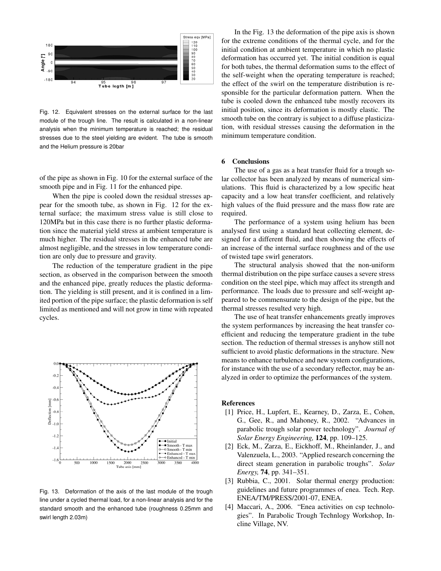

Fig. 12. Equivalent stresses on the external surface for the last module of the trough line. The result is calculated in a non-linear analysis when the minimum temperature is reached; the residual stresses due to the steel yielding are evident. The tube is smooth and the Helium pressure is 20bar

of the pipe as shown in Fig. 10 for the external surface of the smooth pipe and in Fig. 11 for the enhanced pipe.

When the pipe is cooled down the residual stresses appear for the smooth tube, as shown in Fig. 12 for the external surface; the maximum stress value is still close to 120MPa but in this case there is no further plastic deformation since the material yield stress at ambient temperature is much higher. The residual stresses in the enhanced tube are almost negligible, and the stresses in low temperature condition are only due to pressure and gravity.

The reduction of the temperature gradient in the pipe section, as observed in the comparison between the smooth and the enhanced pipe, greatly reduces the plastic deformation. The yielding is still present, and it is confined in a limited portion of the pipe surface; the plastic deformation is self limited as mentioned and will not grow in time with repeated cycles.



Fig. 13. Deformation of the axis of the last module of the trough line under a cycled thermal load, for a non-linear analysis and for the standard smooth and the enhanced tube (roughness 0.25mm and swirl length 2.03m)

In the Fig. 13 the deformation of the pipe axis is shown for the extreme conditions of the thermal cycle, and for the initial condition at ambient temperature in which no plastic deformation has occurred yet. The initial condition is equal for both tubes, the thermal deformation sums to the effect of the self-weight when the operating temperature is reached; the effect of the swirl on the temperature distribution is responsible for the particular deformation pattern. When the tube is cooled down the enhanced tube mostly recovers its initial position, since its deformation is mostly elastic. The smooth tube on the contrary is subject to a diffuse plasticization, with residual stresses causing the deformation in the minimum temperature condition.

# 6 Conclusions

The use of a gas as a heat transfer fluid for a trough solar collector has been analyzed by means of numerical simulations. This fluid is characterized by a low specific heat capacity and a low heat transfer coefficient, and relatively high values of the fluid pressure and the mass flow rate are required.

The performance of a system using helium has been analysed first using a standard heat collecting element, designed for a different fluid, and then showing the effects of an increase of the internal surface roughness and of the use of twisted tape swirl generators.

The structural analysis showed that the non-uniform thermal distribution on the pipe surface causes a severe stress condition on the steel pipe, which may affect its strength and performance. The loads due to pressure and self-weight appeared to be commensurate to the design of the pipe, but the thermal stresses resulted very high.

The use of heat transfer enhancements greatly improves the system performances by increasing the heat transfer coefficient and reducing the temperature gradient in the tube section. The reduction of thermal stresses is anyhow still not sufficient to avoid plastic deformations in the structure. New means to enhance turbulence and new system configurations, for instance with the use of a secondary reflector, may be analyzed in order to optimize the performances of the system.

## References

- [1] Price, H., Lupfert, E., Kearney, D., Zarza, E., Cohen, G., Gee, R., and Mahoney, R., 2002. "Advances in parabolic trough solar power technology". *Journal of Solar Energy Engineering,* 124, pp. 109–125.
- [2] Eck, M., Zarza, E., Eickhoff, M., Rheinlander, J., and Valenzuela, L., 2003. "Applied research concerning the direct steam generation in parabolic troughs". *Solar Energy,* 74, pp. 341–351.
- [3] Rubbia, C., 2001. Solar thermal energy production: guidelines and future programmes of enea. Tech. Rep. ENEA/TM/PRESS/2001-07, ENEA.
- [4] Maccari, A., 2006. "Enea activities on csp technologies". In Parabolic Trough Technlogy Workshop, Incline Village, NV.